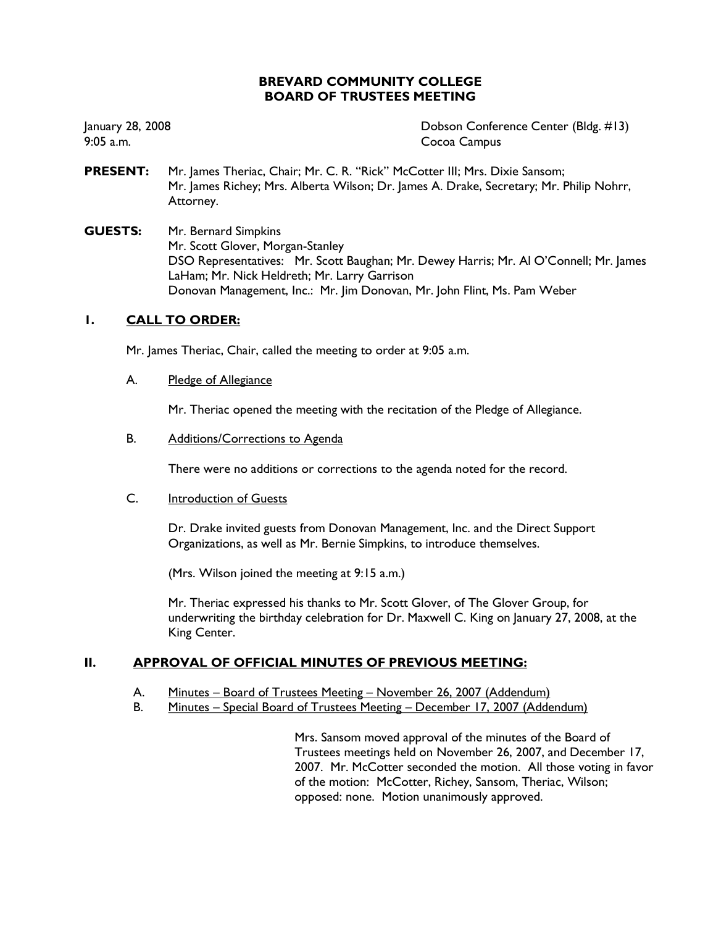# **BREVARD COMMUNITY COLLEGE BOARD OF TRUSTEES MEETING**

January 28, 2008  $9:05$  a.m.

Dobson Conference Center (Bldg. #13) Cocoa Campus

- **PRESENT:** Mr. James Theriac, Chair; Mr. C. R. "Rick" McCotter III; Mrs. Dixie Sansom; Mr. James Richey; Mrs. Alberta Wilson; Dr. James A. Drake, Secretary; Mr. Philip Nohrr, Attorney.
- **GUESTS:** Mr. Bernard Simpkins Mr. Scott Glover, Morgan-Stanley DSO Representatives: Mr. Scott Baughan; Mr. Dewey Harris; Mr. Al O'Connell; Mr. James LaHam; Mr. Nick Heldreth; Mr. Larry Garrison Donovan Management, Inc.: Mr. Jim Donovan, Mr. John Flint, Ms. Pam Weber

## $\mathbf{L}$ **CALL TO ORDER:**

Mr. James Theriac, Chair, called the meeting to order at 9:05 a.m.

#### A. Pledge of Allegiance

Mr. Theriac opened the meeting with the recitation of the Pledge of Allegiance.

#### B. Additions/Corrections to Agenda

There were no additions or corrections to the agenda noted for the record.

### $C_{1}$ Introduction of Guests

Dr. Drake invited guests from Donovan Management, Inc. and the Direct Support Organizations, as well as Mr. Bernie Simpkins, to introduce themselves.

(Mrs. Wilson joined the meeting at 9:15 a.m.)

Mr. Theriac expressed his thanks to Mr. Scott Glover, of The Glover Group, for underwriting the birthday celebration for Dr. Maxwell C. King on January 27, 2008, at the King Center.

### II. **APPROVAL OF OFFICIAL MINUTES OF PREVIOUS MEETING:**

- А. Minutes - Board of Trustees Meeting - November 26, 2007 (Addendum)
- **B.** Minutes - Special Board of Trustees Meeting - December 17, 2007 (Addendum)

Mrs. Sansom moved approval of the minutes of the Board of Trustees meetings held on November 26, 2007, and December 17, 2007. Mr. McCotter seconded the motion. All those voting in favor of the motion: McCotter, Richey, Sansom, Theriac, Wilson; opposed: none. Motion unanimously approved.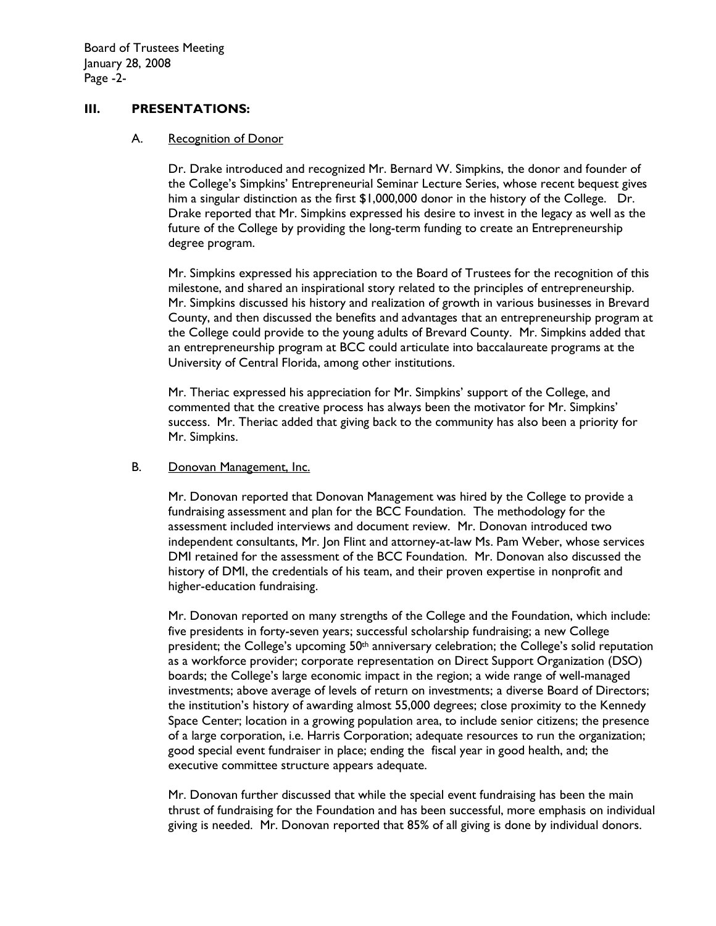### $III.$ **PRESENTATIONS:**

#### A. **Recognition of Donor**

Dr. Drake introduced and recognized Mr. Bernard W. Simpkins, the donor and founder of the College's Simpkins' Entrepreneurial Seminar Lecture Series, whose recent bequest gives him a singular distinction as the first \$1,000,000 donor in the history of the College. Dr. Drake reported that Mr. Simpkins expressed his desire to invest in the legacy as well as the future of the College by providing the long-term funding to create an Entrepreneurship degree program.

Mr. Simpkins expressed his appreciation to the Board of Trustees for the recognition of this milestone, and shared an inspirational story related to the principles of entrepreneurship. Mr. Simpkins discussed his history and realization of growth in various businesses in Brevard County, and then discussed the benefits and advantages that an entrepreneurship program at the College could provide to the young adults of Brevard County. Mr. Simpkins added that an entrepreneurship program at BCC could articulate into baccalaureate programs at the University of Central Florida, among other institutions.

Mr. Theriac expressed his appreciation for Mr. Simpkins' support of the College, and commented that the creative process has always been the motivator for Mr. Simpkins' success. Mr. Theriac added that giving back to the community has also been a priority for Mr. Simpkins.

#### В. Donovan Management, Inc.

Mr. Donovan reported that Donovan Management was hired by the College to provide a fundraising assessment and plan for the BCC Foundation. The methodology for the assessment included interviews and document review. Mr. Donovan introduced two independent consultants, Mr. Jon Flint and attorney-at-law Ms. Pam Weber, whose services DMI retained for the assessment of the BCC Foundation. Mr. Donovan also discussed the history of DMI, the credentials of his team, and their proven expertise in nonprofit and higher-education fundraising.

Mr. Donovan reported on many strengths of the College and the Foundation, which include: five presidents in forty-seven years; successful scholarship fundraising; a new College president; the College's upcoming 50<sup>th</sup> anniversary celebration; the College's solid reputation as a workforce provider; corporate representation on Direct Support Organization (DSO) boards; the College's large economic impact in the region; a wide range of well-managed investments; above average of levels of return on investments; a diverse Board of Directors; the institution's history of awarding almost 55,000 degrees; close proximity to the Kennedy Space Center; location in a growing population area, to include senior citizens; the presence of a large corporation, i.e. Harris Corporation; adequate resources to run the organization; good special event fundraiser in place; ending the fiscal year in good health, and; the executive committee structure appears adequate.

Mr. Donovan further discussed that while the special event fundraising has been the main thrust of fundraising for the Foundation and has been successful, more emphasis on individual giving is needed. Mr. Donovan reported that 85% of all giving is done by individual donors.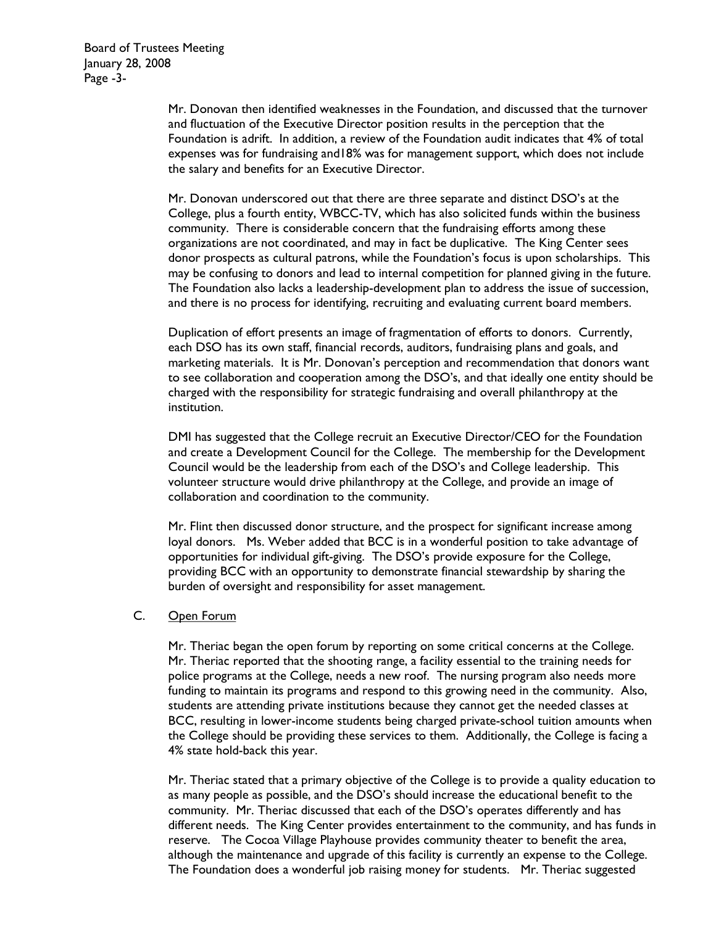Mr. Donovan then identified weaknesses in the Foundation, and discussed that the turnover and fluctuation of the Executive Director position results in the perception that the Foundation is adrift. In addition, a review of the Foundation audit indicates that 4% of total expenses was for fundraising and 18% was for management support, which does not include the salary and benefits for an Executive Director.

Mr. Donovan underscored out that there are three separate and distinct DSO's at the College, plus a fourth entity, WBCC-TV, which has also solicited funds within the business community. There is considerable concern that the fundraising efforts among these organizations are not coordinated, and may in fact be duplicative. The King Center sees donor prospects as cultural patrons, while the Foundation's focus is upon scholarships. This may be confusing to donors and lead to internal competition for planned giving in the future. The Foundation also lacks a leadership-development plan to address the issue of succession, and there is no process for identifying, recruiting and evaluating current board members.

Duplication of effort presents an image of fragmentation of efforts to donors. Currently, each DSO has its own staff, financial records, auditors, fundraising plans and goals, and marketing materials. It is Mr. Donovan's perception and recommendation that donors want to see collaboration and cooperation among the DSO's, and that ideally one entity should be charged with the responsibility for strategic fundraising and overall philanthropy at the institution.

DMI has suggested that the College recruit an Executive Director/CEO for the Foundation and create a Development Council for the College. The membership for the Development Council would be the leadership from each of the DSO's and College leadership. This volunteer structure would drive philanthropy at the College, and provide an image of collaboration and coordination to the community.

Mr. Flint then discussed donor structure, and the prospect for significant increase among loyal donors. Ms. Weber added that BCC is in a wonderful position to take advantage of opportunities for individual gift-giving. The DSO's provide exposure for the College, providing BCC with an opportunity to demonstrate financial stewardship by sharing the burden of oversight and responsibility for asset management.

### $C_{\cdot}$ Open Forum

Mr. Theriac began the open forum by reporting on some critical concerns at the College. Mr. Theriac reported that the shooting range, a facility essential to the training needs for police programs at the College, needs a new roof. The nursing program also needs more funding to maintain its programs and respond to this growing need in the community. Also, students are attending private institutions because they cannot get the needed classes at BCC, resulting in lower-income students being charged private-school tuition amounts when the College should be providing these services to them. Additionally, the College is facing a 4% state hold-back this year.

Mr. Theriac stated that a primary objective of the College is to provide a quality education to as many people as possible, and the DSO's should increase the educational benefit to the community. Mr. Theriac discussed that each of the DSO's operates differently and has different needs. The King Center provides entertainment to the community, and has funds in reserve. The Cocoa Village Playhouse provides community theater to benefit the area, although the maintenance and upgrade of this facility is currently an expense to the College. The Foundation does a wonderful job raising money for students. Mr. Theriac suggested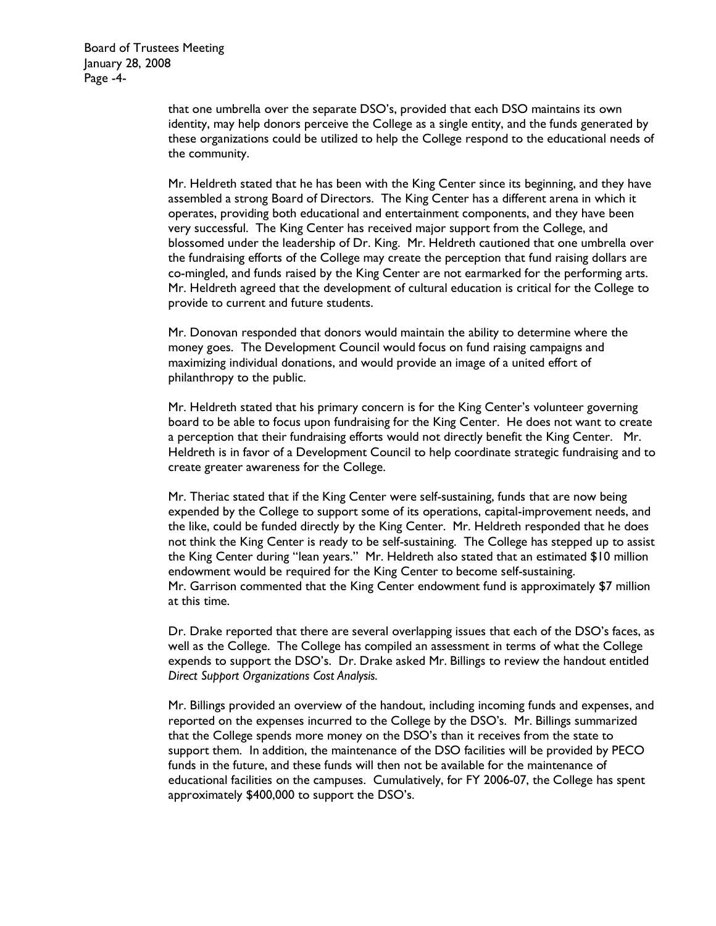**Board of Trustees Meeting** January 28, 2008 Page -4-

> that one umbrella over the separate DSO's, provided that each DSO maintains its own identity, may help donors perceive the College as a single entity, and the funds generated by these organizations could be utilized to help the College respond to the educational needs of the community.

> Mr. Heldreth stated that he has been with the King Center since its beginning, and they have assembled a strong Board of Directors. The King Center has a different arena in which it operates, providing both educational and entertainment components, and they have been very successful. The King Center has received major support from the College, and blossomed under the leadership of Dr. King. Mr. Heldreth cautioned that one umbrella over the fundraising efforts of the College may create the perception that fund raising dollars are co-mingled, and funds raised by the King Center are not earmarked for the performing arts. Mr. Heldreth agreed that the development of cultural education is critical for the College to provide to current and future students.

Mr. Donovan responded that donors would maintain the ability to determine where the money goes. The Development Council would focus on fund raising campaigns and maximizing individual donations, and would provide an image of a united effort of philanthropy to the public.

Mr. Heldreth stated that his primary concern is for the King Center's volunteer governing board to be able to focus upon fundraising for the King Center. He does not want to create a perception that their fundraising efforts would not directly benefit the King Center. Mr. Heldreth is in favor of a Development Council to help coordinate strategic fundraising and to create greater awareness for the College.

Mr. Theriac stated that if the King Center were self-sustaining, funds that are now being expended by the College to support some of its operations, capital-improvement needs, and the like, could be funded directly by the King Center. Mr. Heldreth responded that he does not think the King Center is ready to be self-sustaining. The College has stepped up to assist the King Center during "lean years." Mr. Heldreth also stated that an estimated \$10 million endowment would be required for the King Center to become self-sustaining. Mr. Garrison commented that the King Center endowment fund is approximately \$7 million at this time.

Dr. Drake reported that there are several overlapping issues that each of the DSO's faces, as well as the College. The College has compiled an assessment in terms of what the College expends to support the DSO's. Dr. Drake asked Mr. Billings to review the handout entitled Direct Support Organizations Cost Analysis.

Mr. Billings provided an overview of the handout, including incoming funds and expenses, and reported on the expenses incurred to the College by the DSO's. Mr. Billings summarized that the College spends more money on the DSO's than it receives from the state to support them. In addition, the maintenance of the DSO facilities will be provided by PECO funds in the future, and these funds will then not be available for the maintenance of educational facilities on the campuses. Cumulatively, for FY 2006-07, the College has spent approximately \$400,000 to support the DSO's.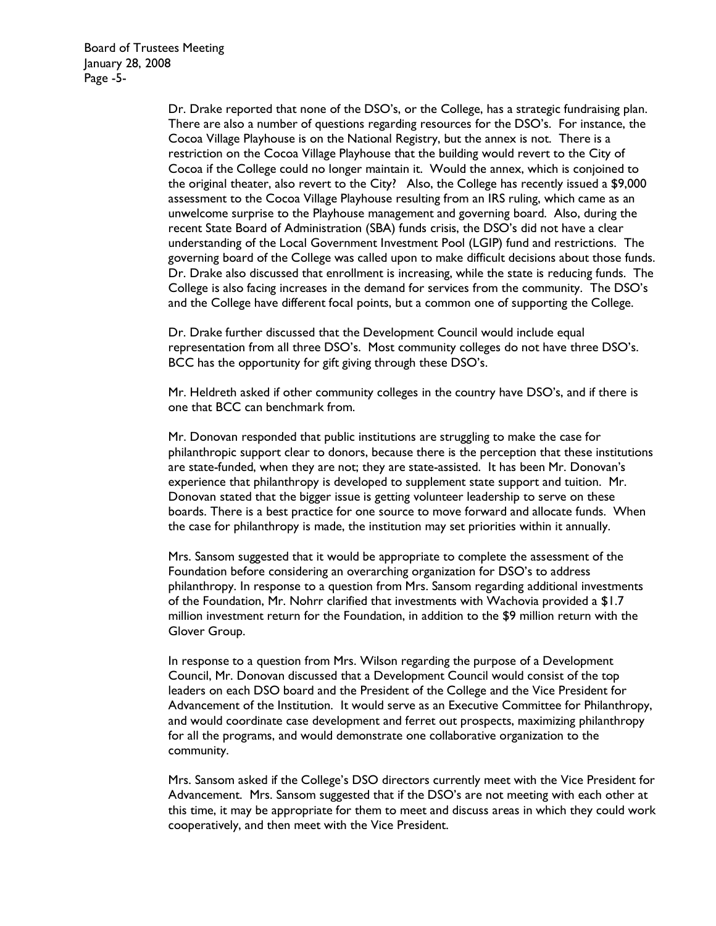**Board of Trustees Meeting** January 28, 2008 Page -5-

> Dr. Drake reported that none of the DSO's, or the College, has a strategic fundraising plan. There are also a number of questions regarding resources for the DSO's. For instance, the Cocoa Village Playhouse is on the National Registry, but the annex is not. There is a restriction on the Cocoa Village Playhouse that the building would revert to the City of Cocoa if the College could no longer maintain it. Would the annex, which is conjoined to the original theater, also revert to the City? Also, the College has recently issued a \$9,000 assessment to the Cocoa Village Playhouse resulting from an IRS ruling, which came as an unwelcome surprise to the Playhouse management and governing board. Also, during the recent State Board of Administration (SBA) funds crisis, the DSO's did not have a clear understanding of the Local Government Investment Pool (LGIP) fund and restrictions. The governing board of the College was called upon to make difficult decisions about those funds. Dr. Drake also discussed that enrollment is increasing, while the state is reducing funds. The College is also facing increases in the demand for services from the community. The DSO's and the College have different focal points, but a common one of supporting the College.

Dr. Drake further discussed that the Development Council would include equal representation from all three DSO's. Most community colleges do not have three DSO's. BCC has the opportunity for gift giving through these DSO's.

Mr. Heldreth asked if other community colleges in the country have DSO's, and if there is one that BCC can benchmark from.

Mr. Donovan responded that public institutions are struggling to make the case for philanthropic support clear to donors, because there is the perception that these institutions are state-funded, when they are not; they are state-assisted. It has been Mr. Donovan's experience that philanthropy is developed to supplement state support and tuition. Mr. Donovan stated that the bigger issue is getting volunteer leadership to serve on these boards. There is a best practice for one source to move forward and allocate funds. When the case for philanthropy is made, the institution may set priorities within it annually.

Mrs. Sansom suggested that it would be appropriate to complete the assessment of the Foundation before considering an overarching organization for DSO's to address philanthropy. In response to a question from Mrs. Sansom regarding additional investments of the Foundation, Mr. Nohrr clarified that investments with Wachovia provided a \$1.7 million investment return for the Foundation, in addition to the \$9 million return with the Glover Group.

In response to a question from Mrs. Wilson regarding the purpose of a Development Council, Mr. Donovan discussed that a Development Council would consist of the top leaders on each DSO board and the President of the College and the Vice President for Advancement of the Institution. It would serve as an Executive Committee for Philanthropy, and would coordinate case development and ferret out prospects, maximizing philanthropy for all the programs, and would demonstrate one collaborative organization to the community.

Mrs. Sansom asked if the College's DSO directors currently meet with the Vice President for Advancement. Mrs. Sansom suggested that if the DSO's are not meeting with each other at this time, it may be appropriate for them to meet and discuss areas in which they could work cooperatively, and then meet with the Vice President.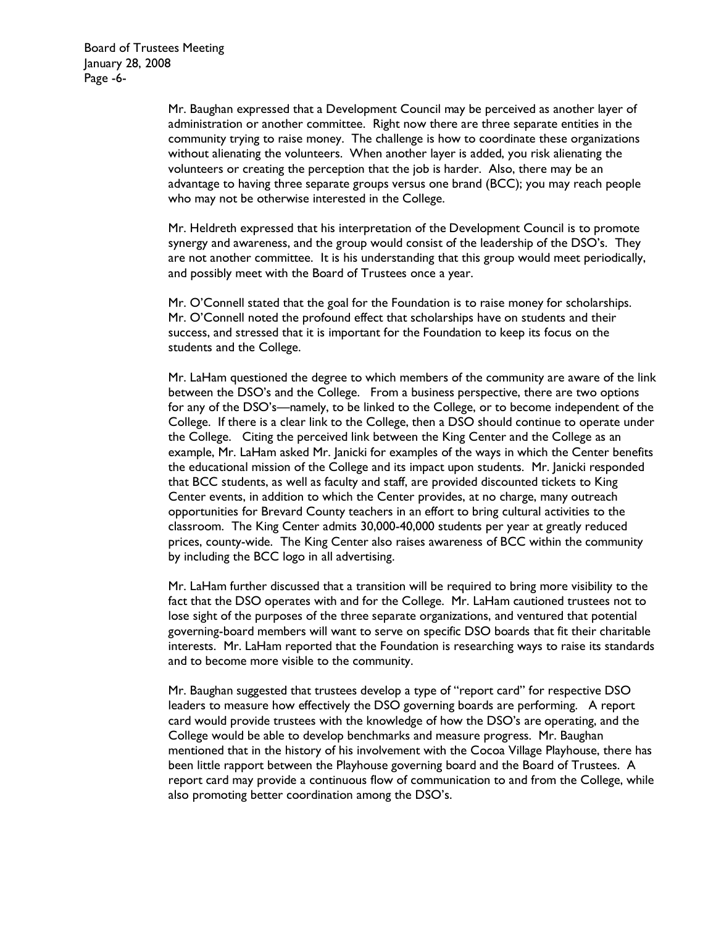Mr. Baughan expressed that a Development Council may be perceived as another layer of administration or another committee. Right now there are three separate entities in the community trying to raise money. The challenge is how to coordinate these organizations without alienating the volunteers. When another layer is added, you risk alienating the volunteers or creating the perception that the job is harder. Also, there may be an advantage to having three separate groups versus one brand (BCC); you may reach people who may not be otherwise interested in the College.

Mr. Heldreth expressed that his interpretation of the Development Council is to promote synergy and awareness, and the group would consist of the leadership of the DSO's. They are not another committee. It is his understanding that this group would meet periodically, and possibly meet with the Board of Trustees once a year.

Mr. O'Connell stated that the goal for the Foundation is to raise money for scholarships. Mr. O'Connell noted the profound effect that scholarships have on students and their success, and stressed that it is important for the Foundation to keep its focus on the students and the College.

Mr. LaHam questioned the degree to which members of the community are aware of the link between the DSO's and the College. From a business perspective, there are two options for any of the DSO's—namely, to be linked to the College, or to become independent of the College. If there is a clear link to the College, then a DSO should continue to operate under the College. Citing the perceived link between the King Center and the College as an example, Mr. LaHam asked Mr. Janicki for examples of the ways in which the Center benefits the educational mission of the College and its impact upon students. Mr. Janicki responded that BCC students, as well as faculty and staff, are provided discounted tickets to King Center events, in addition to which the Center provides, at no charge, many outreach opportunities for Brevard County teachers in an effort to bring cultural activities to the classroom. The King Center admits 30,000-40,000 students per year at greatly reduced prices, county-wide. The King Center also raises awareness of BCC within the community by including the BCC logo in all advertising.

Mr. LaHam further discussed that a transition will be required to bring more visibility to the fact that the DSO operates with and for the College. Mr. LaHam cautioned trustees not to lose sight of the purposes of the three separate organizations, and ventured that potential governing-board members will want to serve on specific DSO boards that fit their charitable interests. Mr. LaHam reported that the Foundation is researching ways to raise its standards and to become more visible to the community.

Mr. Baughan suggested that trustees develop a type of "report card" for respective DSO leaders to measure how effectively the DSO governing boards are performing. A report card would provide trustees with the knowledge of how the DSO's are operating, and the College would be able to develop benchmarks and measure progress. Mr. Baughan mentioned that in the history of his involvement with the Cocoa Village Playhouse, there has been little rapport between the Playhouse governing board and the Board of Trustees. A report card may provide a continuous flow of communication to and from the College, while also promoting better coordination among the DSO's.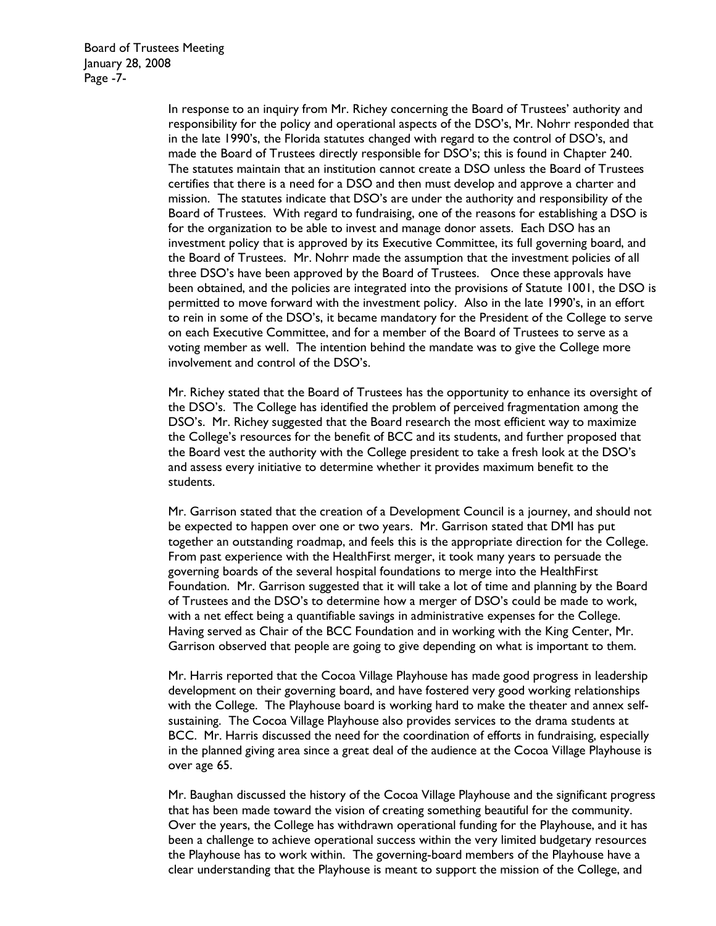**Board of Trustees Meeting** January 28, 2008 Page -7-

> In response to an inquiry from Mr. Richey concerning the Board of Trustees' authority and responsibility for the policy and operational aspects of the DSO's, Mr. Nohrr responded that in the late 1990's, the Florida statutes changed with regard to the control of DSO's, and made the Board of Trustees directly responsible for DSO's; this is found in Chapter 240. The statutes maintain that an institution cannot create a DSO unless the Board of Trustees certifies that there is a need for a DSO and then must develop and approve a charter and mission. The statutes indicate that DSO's are under the authority and responsibility of the Board of Trustees. With regard to fundraising, one of the reasons for establishing a DSO is for the organization to be able to invest and manage donor assets. Each DSO has an investment policy that is approved by its Executive Committee, its full governing board, and the Board of Trustees. Mr. Nohrr made the assumption that the investment policies of all three DSO's have been approved by the Board of Trustees. Once these approvals have been obtained, and the policies are integrated into the provisions of Statute 1001, the DSO is permitted to move forward with the investment policy. Also in the late 1990's, in an effort to rein in some of the DSO's, it became mandatory for the President of the College to serve on each Executive Committee, and for a member of the Board of Trustees to serve as a voting member as well. The intention behind the mandate was to give the College more involvement and control of the DSO's.

> Mr. Richey stated that the Board of Trustees has the opportunity to enhance its oversight of the DSO's. The College has identified the problem of perceived fragmentation among the DSO's. Mr. Richey suggested that the Board research the most efficient way to maximize the College's resources for the benefit of BCC and its students, and further proposed that the Board vest the authority with the College president to take a fresh look at the DSO's and assess every initiative to determine whether it provides maximum benefit to the students.

> Mr. Garrison stated that the creation of a Development Council is a journey, and should not be expected to happen over one or two years. Mr. Garrison stated that DMI has put together an outstanding roadmap, and feels this is the appropriate direction for the College. From past experience with the HealthFirst merger, it took many years to persuade the governing boards of the several hospital foundations to merge into the HealthFirst Foundation. Mr. Garrison suggested that it will take a lot of time and planning by the Board of Trustees and the DSO's to determine how a merger of DSO's could be made to work, with a net effect being a quantifiable savings in administrative expenses for the College. Having served as Chair of the BCC Foundation and in working with the King Center, Mr. Garrison observed that people are going to give depending on what is important to them.

> Mr. Harris reported that the Cocoa Village Playhouse has made good progress in leadership development on their governing board, and have fostered very good working relationships with the College. The Playhouse board is working hard to make the theater and annex selfsustaining. The Cocoa Village Playhouse also provides services to the drama students at BCC. Mr. Harris discussed the need for the coordination of efforts in fundraising, especially in the planned giving area since a great deal of the audience at the Cocoa Village Playhouse is over age 65.

> Mr. Baughan discussed the history of the Cocoa Village Playhouse and the significant progress that has been made toward the vision of creating something beautiful for the community. Over the years, the College has withdrawn operational funding for the Playhouse, and it has been a challenge to achieve operational success within the very limited budgetary resources the Playhouse has to work within. The governing-board members of the Playhouse have a clear understanding that the Playhouse is meant to support the mission of the College, and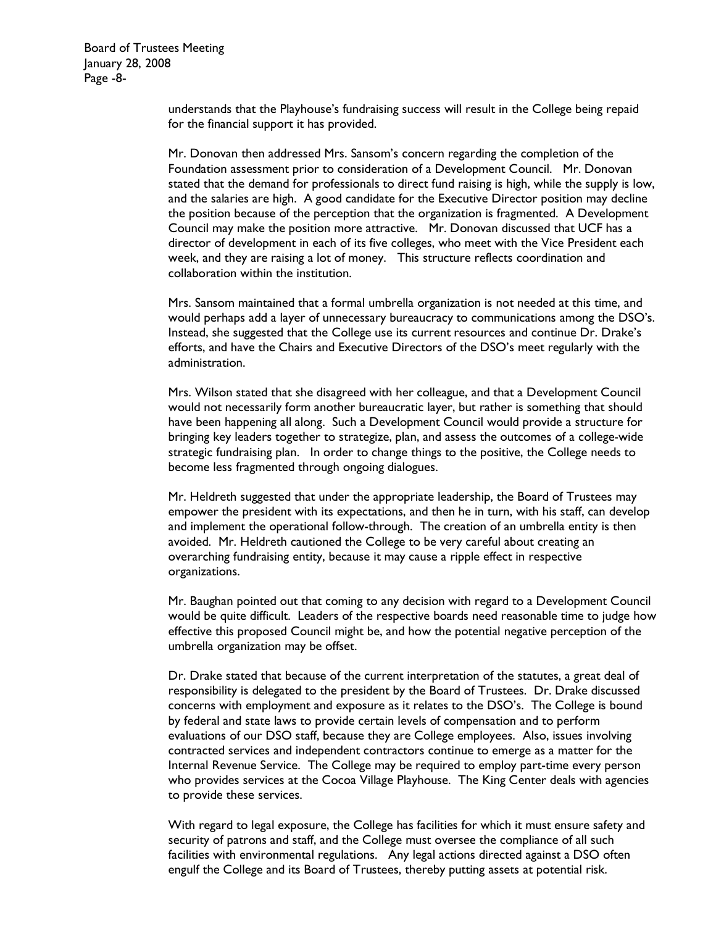**Board of Trustees Meeting** January 28, 2008 Page -8-

> understands that the Playhouse's fundraising success will result in the College being repaid for the financial support it has provided.

Mr. Donovan then addressed Mrs. Sansom's concern regarding the completion of the Foundation assessment prior to consideration of a Development Council. Mr. Donovan stated that the demand for professionals to direct fund raising is high, while the supply is low, and the salaries are high. A good candidate for the Executive Director position may decline the position because of the perception that the organization is fragmented. A Development Council may make the position more attractive. Mr. Donovan discussed that UCF has a director of development in each of its five colleges, who meet with the Vice President each week, and they are raising a lot of money. This structure reflects coordination and collaboration within the institution.

Mrs. Sansom maintained that a formal umbrella organization is not needed at this time, and would perhaps add a layer of unnecessary bureaucracy to communications among the DSO's. Instead, she suggested that the College use its current resources and continue Dr. Drake's efforts, and have the Chairs and Executive Directors of the DSO's meet regularly with the administration.

Mrs. Wilson stated that she disagreed with her colleague, and that a Development Council would not necessarily form another bureaucratic layer, but rather is something that should have been happening all along. Such a Development Council would provide a structure for bringing key leaders together to strategize, plan, and assess the outcomes of a college-wide strategic fundraising plan. In order to change things to the positive, the College needs to become less fragmented through ongoing dialogues.

Mr. Heldreth suggested that under the appropriate leadership, the Board of Trustees may empower the president with its expectations, and then he in turn, with his staff, can develop and implement the operational follow-through. The creation of an umbrella entity is then avoided. Mr. Heldreth cautioned the College to be very careful about creating an overarching fundraising entity, because it may cause a ripple effect in respective organizations.

Mr. Baughan pointed out that coming to any decision with regard to a Development Council would be quite difficult. Leaders of the respective boards need reasonable time to judge how effective this proposed Council might be, and how the potential negative perception of the umbrella organization may be offset.

Dr. Drake stated that because of the current interpretation of the statutes, a great deal of responsibility is delegated to the president by the Board of Trustees. Dr. Drake discussed concerns with employment and exposure as it relates to the DSO's. The College is bound by federal and state laws to provide certain levels of compensation and to perform evaluations of our DSO staff, because they are College employees. Also, issues involving contracted services and independent contractors continue to emerge as a matter for the Internal Revenue Service. The College may be required to employ part-time every person who provides services at the Cocoa Village Playhouse. The King Center deals with agencies to provide these services.

With regard to legal exposure, the College has facilities for which it must ensure safety and security of patrons and staff, and the College must oversee the compliance of all such facilities with environmental regulations. Any legal actions directed against a DSO often engulf the College and its Board of Trustees, thereby putting assets at potential risk.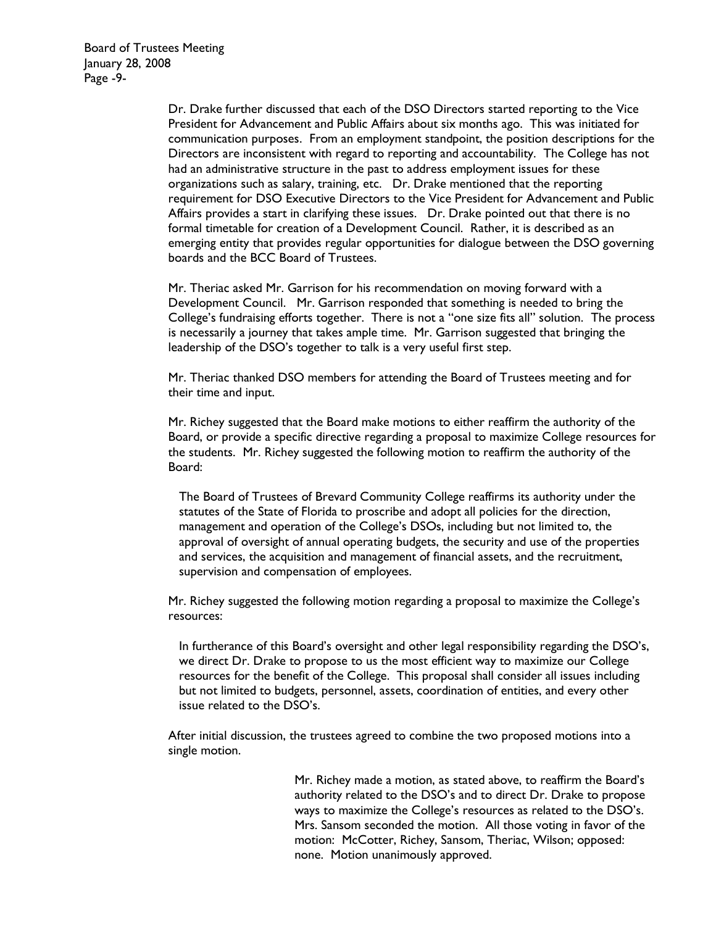**Board of Trustees Meeting** January 28, 2008 Page -9-

> Dr. Drake further discussed that each of the DSO Directors started reporting to the Vice President for Advancement and Public Affairs about six months ago. This was initiated for communication purposes. From an employment standpoint, the position descriptions for the Directors are inconsistent with regard to reporting and accountability. The College has not had an administrative structure in the past to address employment issues for these organizations such as salary, training, etc. Dr. Drake mentioned that the reporting requirement for DSO Executive Directors to the Vice President for Advancement and Public Affairs provides a start in clarifying these issues. Dr. Drake pointed out that there is no formal timetable for creation of a Development Council. Rather, it is described as an emerging entity that provides regular opportunities for dialogue between the DSO governing boards and the BCC Board of Trustees.

> Mr. Theriac asked Mr. Garrison for his recommendation on moving forward with a Development Council. Mr. Garrison responded that something is needed to bring the College's fundraising efforts together. There is not a "one size fits all" solution. The process is necessarily a journey that takes ample time. Mr. Garrison suggested that bringing the leadership of the DSO's together to talk is a very useful first step.

Mr. Theriac thanked DSO members for attending the Board of Trustees meeting and for their time and input.

Mr. Richey suggested that the Board make motions to either reaffirm the authority of the Board, or provide a specific directive regarding a proposal to maximize College resources for the students. Mr. Richey suggested the following motion to reaffirm the authority of the Board:

The Board of Trustees of Brevard Community College reaffirms its authority under the statutes of the State of Florida to proscribe and adopt all policies for the direction, management and operation of the College's DSOs, including but not limited to, the approval of oversight of annual operating budgets, the security and use of the properties and services, the acquisition and management of financial assets, and the recruitment, supervision and compensation of employees.

Mr. Richey suggested the following motion regarding a proposal to maximize the College's resources:

In furtherance of this Board's oversight and other legal responsibility regarding the DSO's, we direct Dr. Drake to propose to us the most efficient way to maximize our College resources for the benefit of the College. This proposal shall consider all issues including but not limited to budgets, personnel, assets, coordination of entities, and every other issue related to the DSO's.

After initial discussion, the trustees agreed to combine the two proposed motions into a single motion.

> Mr. Richey made a motion, as stated above, to reaffirm the Board's authority related to the DSO's and to direct Dr. Drake to propose ways to maximize the College's resources as related to the DSO's. Mrs. Sansom seconded the motion. All those voting in favor of the motion: McCotter, Richey, Sansom, Theriac, Wilson; opposed: none. Motion unanimously approved.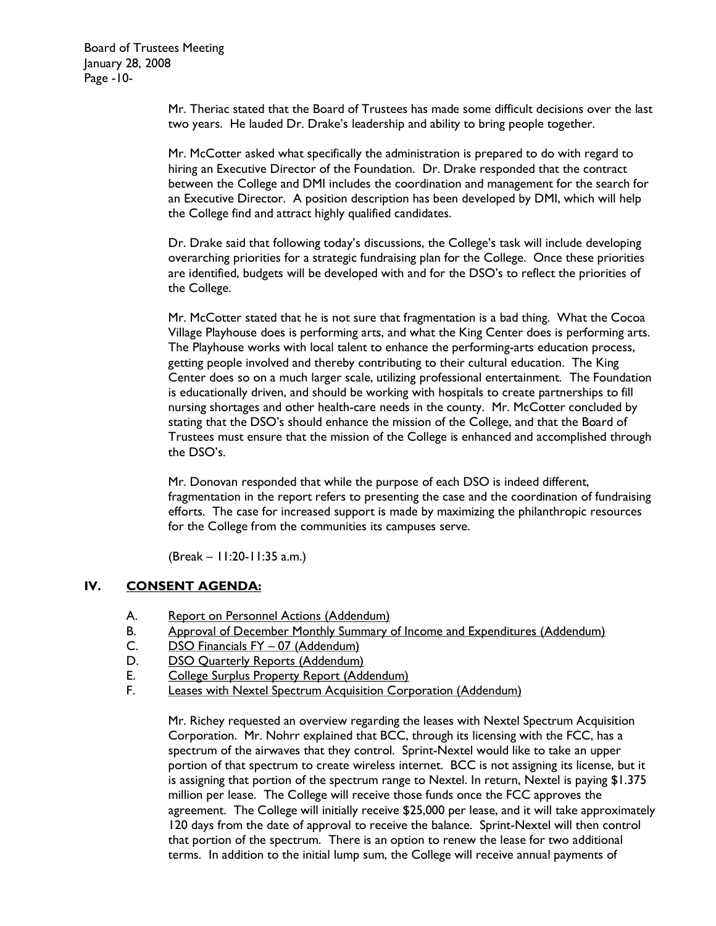Mr. Theriac stated that the Board of Trustees has made some difficult decisions over the last two years. He lauded Dr. Drake's leadership and ability to bring people together.

Mr. McCotter asked what specifically the administration is prepared to do with regard to hiring an Executive Director of the Foundation. Dr. Drake responded that the contract between the College and DMI includes the coordination and management for the search for an Executive Director. A position description has been developed by DMI, which will help the College find and attract highly qualified candidates.

Dr. Drake said that following today's discussions, the College's task will include developing overarching priorities for a strategic fundraising plan for the College. Once these priorities are identified, budgets will be developed with and for the DSO's to reflect the priorities of the College.

Mr. McCotter stated that he is not sure that fragmentation is a bad thing. What the Cocoa Village Playhouse does is performing arts, and what the King Center does is performing arts. The Playhouse works with local talent to enhance the performing-arts education process, getting people involved and thereby contributing to their cultural education. The King Center does so on a much larger scale, utilizing professional entertainment. The Foundation is educationally driven, and should be working with hospitals to create partnerships to fill nursing shortages and other health-care needs in the county. Mr. McCotter concluded by stating that the DSO's should enhance the mission of the College, and that the Board of Trustees must ensure that the mission of the College is enhanced and accomplished through the DSO's.

Mr. Donovan responded that while the purpose of each DSO is indeed different, fragmentation in the report refers to presenting the case and the coordination of fundraising efforts. The case for increased support is made by maximizing the philanthropic resources for the College from the communities its campuses serve.

 $(Break - 11:20-11:35 a.m.)$ 

## IV. **CONSENT AGENDA:**

- А. **Report on Personnel Actions (Addendum)**
- Approval of December Monthly Summary of Income and Expenditures (Addendum) В.
- $\mathsf{C}$ . DSO Financials FY - 07 (Addendum)
- D. **DSO Quarterly Reports (Addendum)**
- College Surplus Property Report (Addendum) E.
- F. Leases with Nextel Spectrum Acquisition Corporation (Addendum)

Mr. Richey requested an overview regarding the leases with Nextel Spectrum Acquisition Corporation. Mr. Nohrr explained that BCC, through its licensing with the FCC, has a spectrum of the airwaves that they control. Sprint-Nextel would like to take an upper portion of that spectrum to create wireless internet. BCC is not assigning its license, but it is assigning that portion of the spectrum range to Nextel. In return, Nextel is paying \$1.375 million per lease. The College will receive those funds once the FCC approves the agreement. The College will initially receive \$25,000 per lease, and it will take approximately 120 days from the date of approval to receive the balance. Sprint-Nextel will then control that portion of the spectrum. There is an option to renew the lease for two additional terms. In addition to the initial lump sum, the College will receive annual payments of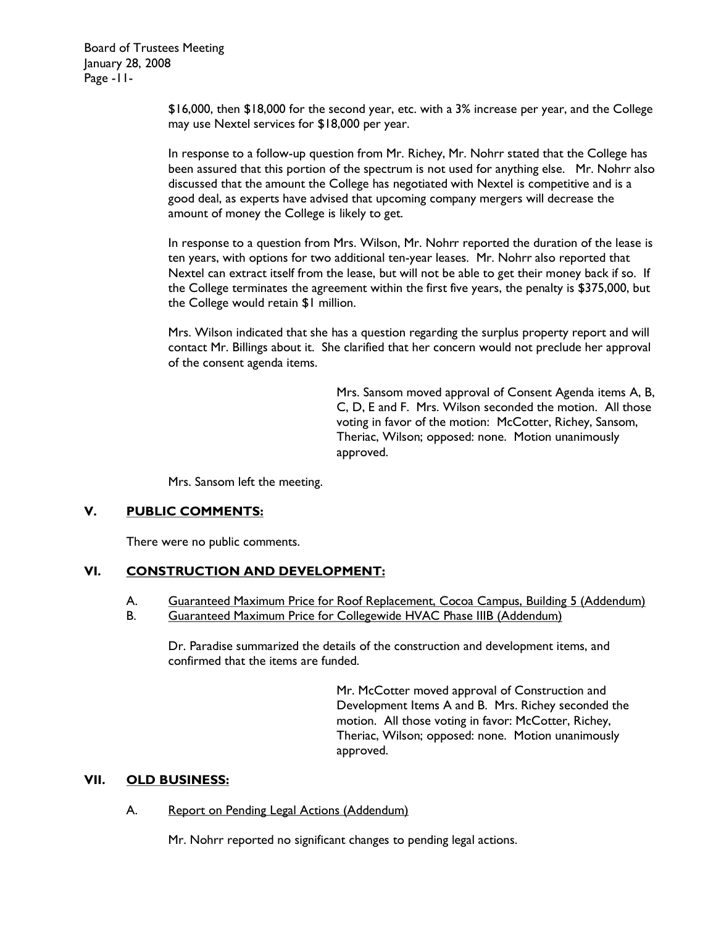**Board of Trustees Meeting** January 28, 2008 Page - II-

> \$16,000, then \$18,000 for the second year, etc. with a 3% increase per year, and the College may use Nextel services for \$18,000 per year.

> In response to a follow-up question from Mr. Richey, Mr. Nohrr stated that the College has been assured that this portion of the spectrum is not used for anything else. Mr. Nohrr also discussed that the amount the College has negotiated with Nextel is competitive and is a good deal, as experts have advised that upcoming company mergers will decrease the amount of money the College is likely to get.

> In response to a question from Mrs. Wilson, Mr. Nohrr reported the duration of the lease is ten years, with options for two additional ten-year leases. Mr. Nohrr also reported that Nextel can extract itself from the lease, but will not be able to get their money back if so. If the College terminates the agreement within the first five years, the penalty is \$375,000, but the College would retain \$1 million.

> Mrs. Wilson indicated that she has a question regarding the surplus property report and will contact Mr. Billings about it. She clarified that her concern would not preclude her approval of the consent agenda items.

> > Mrs. Sansom moved approval of Consent Agenda items A, B, C, D, E and F. Mrs. Wilson seconded the motion. All those voting in favor of the motion: McCotter, Richey, Sansom, Theriac, Wilson; opposed: none. Motion unanimously approved.

Mrs. Sansom left the meeting.

### V. **PUBLIC COMMENTS:**

There were no public comments.

## VI. **CONSTRUCTION AND DEVELOPMENT:**

- А. Guaranteed Maximum Price for Roof Replacement, Cocoa Campus, Building 5 (Addendum)
- В. Guaranteed Maximum Price for Collegewide HVAC Phase IIIB (Addendum)

Dr. Paradise summarized the details of the construction and development items, and confirmed that the items are funded.

> Mr. McCotter moved approval of Construction and Development Items A and B. Mrs. Richey seconded the motion. All those voting in favor: McCotter, Richey, Theriac, Wilson; opposed: none. Motion unanimously approved.

### VII. **OLD BUSINESS:**

### А. Report on Pending Legal Actions (Addendum)

Mr. Nohrr reported no significant changes to pending legal actions.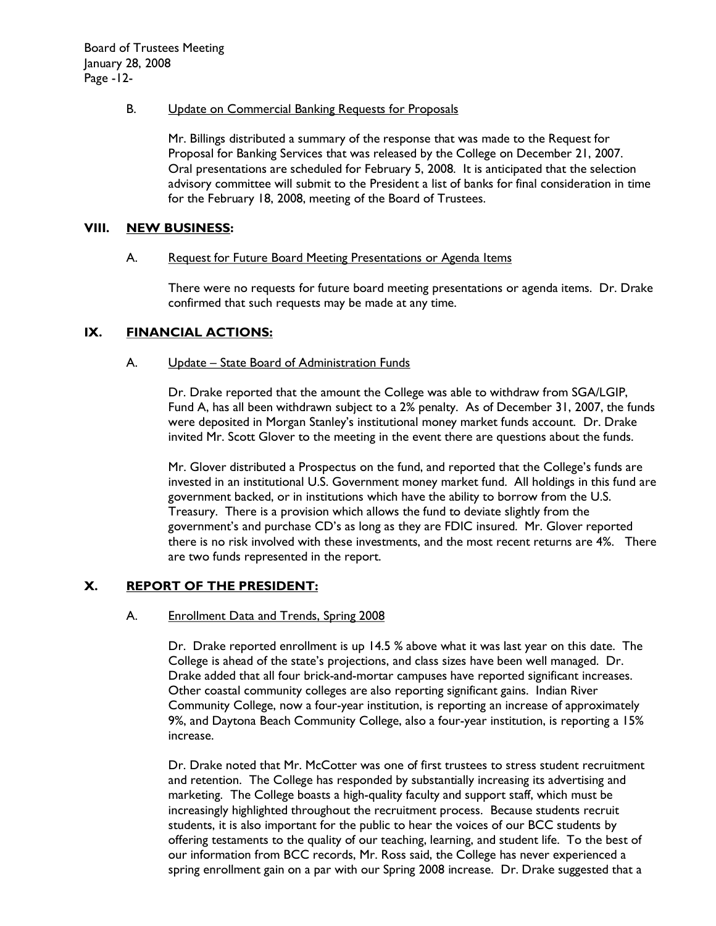## В. Update on Commercial Banking Requests for Proposals

Mr. Billings distributed a summary of the response that was made to the Request for Proposal for Banking Services that was released by the College on December 21, 2007. Oral presentations are scheduled for February 5, 2008. It is anticipated that the selection advisory committee will submit to the President a list of banks for final consideration in time for the February 18, 2008, meeting of the Board of Trustees.

### VIII. **NEW BUSINESS:**

### А. Request for Future Board Meeting Presentations or Agenda Items

There were no requests for future board meeting presentations or agenda items. Dr. Drake confirmed that such requests may be made at any time.

## IX. **FINANCIAL ACTIONS:**

### A. Update - State Board of Administration Funds

Dr. Drake reported that the amount the College was able to withdraw from SGA/LGIP, Fund A, has all been withdrawn subject to a 2% penalty. As of December 31, 2007, the funds were deposited in Morgan Stanley's institutional money market funds account. Dr. Drake invited Mr. Scott Glover to the meeting in the event there are questions about the funds.

Mr. Glover distributed a Prospectus on the fund, and reported that the College's funds are invested in an institutional U.S. Government money market fund. All holdings in this fund are government backed, or in institutions which have the ability to borrow from the U.S. Treasury. There is a provision which allows the fund to deviate slightly from the government's and purchase CD's as long as they are FDIC insured. Mr. Glover reported there is no risk involved with these investments, and the most recent returns are 4%. There are two funds represented in the report.

### X. **REPORT OF THE PRESIDENT:**

### А. **Enrollment Data and Trends, Spring 2008**

Dr. Drake reported enrollment is up 14.5 % above what it was last year on this date. The College is ahead of the state's projections, and class sizes have been well managed. Dr. Drake added that all four brick-and-mortar campuses have reported significant increases. Other coastal community colleges are also reporting significant gains. Indian River Community College, now a four-year institution, is reporting an increase of approximately 9%, and Daytona Beach Community College, also a four-year institution, is reporting a 15% increase.

Dr. Drake noted that Mr. McCotter was one of first trustees to stress student recruitment and retention. The College has responded by substantially increasing its advertising and marketing. The College boasts a high-quality faculty and support staff, which must be increasingly highlighted throughout the recruitment process. Because students recruit students, it is also important for the public to hear the voices of our BCC students by offering testaments to the quality of our teaching, learning, and student life. To the best of our information from BCC records, Mr. Ross said, the College has never experienced a spring enrollment gain on a par with our Spring 2008 increase. Dr. Drake suggested that a